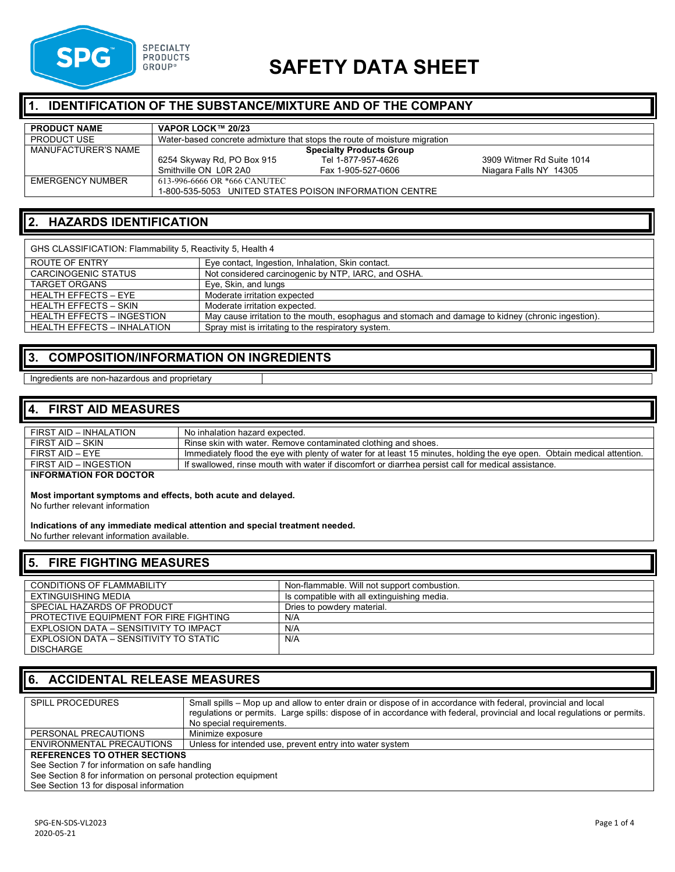

# **SAFETY DATA SHEET**

# **IDENTIFICATION OF THE SUBSTANCE/MIXTURE AND OF THE COMPANY**

| <b>PRODUCT NAME</b>     | VAPOR LOCK™ 20/23                                                         |                    |                           |  |
|-------------------------|---------------------------------------------------------------------------|--------------------|---------------------------|--|
| <b>PRODUCT USE</b>      | Water-based concrete admixture that stops the route of moisture migration |                    |                           |  |
| MANUFACTURER'S NAME     | <b>Specialty Products Group</b>                                           |                    |                           |  |
|                         | 6254 Skyway Rd, PO Box 915                                                | Tel 1-877-957-4626 | 3909 Witmer Rd Suite 1014 |  |
|                         | Smithville ON LOR 2A0                                                     | Fax 1-905-527-0606 | Niagara Falls NY 14305    |  |
| <b>EMERGENCY NUMBER</b> | 613-996-6666 OR *666 CANUTEC                                              |                    |                           |  |
|                         | 1-800-535-5053 UNITED STATES POISON INFORMATION CENTRE                    |                    |                           |  |

# **2. HAZARDS IDENTIFICATION**

| GHS CLASSIFICATION: Flammability 5, Reactivity 5, Health 4                                |                                                                                                    |  |  |
|-------------------------------------------------------------------------------------------|----------------------------------------------------------------------------------------------------|--|--|
| <b>ROUTE OF ENTRY</b>                                                                     | Eye contact, Ingestion, Inhalation, Skin contact.                                                  |  |  |
| <b>CARCINOGENIC STATUS</b>                                                                | Not considered carcinogenic by NTP, IARC, and OSHA.                                                |  |  |
| <b>TARGET ORGANS</b>                                                                      | Eye, Skin, and lungs                                                                               |  |  |
| <b>HEALTH EFFECTS - EYE</b>                                                               | Moderate irritation expected                                                                       |  |  |
| <b>HEALTH EFFECTS - SKIN</b>                                                              | Moderate irritation expected.                                                                      |  |  |
| <b>HEALTH EFFECTS - INGESTION</b>                                                         | May cause irritation to the mouth, esophagus and stomach and damage to kidney (chronic ingestion). |  |  |
| <b>HEALTH EFFECTS - INHALATION</b><br>Spray mist is irritating to the respiratory system. |                                                                                                    |  |  |

### **3. COMPOSITION/INFORMATION ON INGREDIENTS**

#### Ingredients are non-hazardous and proprietary

#### **4. FIRST AID MEASURES**

| FIRST AID - INHALATION        | No inhalation hazard expected.                                                                                          |
|-------------------------------|-------------------------------------------------------------------------------------------------------------------------|
|                               |                                                                                                                         |
| FIRST AID - SKIN              | Rinse skin with water. Remove contaminated clothing and shoes.                                                          |
|                               |                                                                                                                         |
| FIRST AID – EYE               | Immediately flood the eye with plenty of water for at least 15 minutes, holding the eye open. Obtain medical attention. |
|                               |                                                                                                                         |
| FIRST AID - INGESTION         | If swallowed, rinse mouth with water if discomfort or diarrhea persist call for medical assistance.                     |
|                               |                                                                                                                         |
| <b>INFORMATION FOR DOCTOR</b> |                                                                                                                         |
|                               |                                                                                                                         |
|                               |                                                                                                                         |

**Most important symptoms and effects, both acute and delayed.**

No further relevant information

# **Indications of any immediate medical attention and special treatment needed.**

No further relevant information available.

# **5. FIRE FIGHTING MEASURES**

| <b>CONDITIONS OF FLAMMABILITY</b>      | Non-flammable. Will not support combustion. |
|----------------------------------------|---------------------------------------------|
|                                        |                                             |
| EXTINGUISHING MEDIA                    | Is compatible with all extinguishing media. |
|                                        |                                             |
| SPECIAL HAZARDS OF PRODUCT             | Dries to powdery material.                  |
|                                        |                                             |
| PROTECTIVE EQUIPMENT FOR FIRE FIGHTING | N/A                                         |
|                                        |                                             |
| EXPLOSION DATA - SENSITIVITY TO IMPACT | N/A                                         |
|                                        |                                             |
| EXPLOSION DATA – SENSITIVITY TO STATIC | N/A                                         |
|                                        |                                             |
| <b>DISCHARGE</b>                       |                                             |
|                                        |                                             |

#### **6. ACCIDENTAL RELEASE MEASURES**

| <b>SPILL PROCEDURES</b>                                        | Small spills – Mop up and allow to enter drain or dispose of in accordance with federal, provincial and local             |  |  |
|----------------------------------------------------------------|---------------------------------------------------------------------------------------------------------------------------|--|--|
|                                                                | regulations or permits. Large spills: dispose of in accordance with federal, provincial and local regulations or permits. |  |  |
|                                                                | No special requirements.                                                                                                  |  |  |
| PERSONAL PRECAUTIONS                                           | Minimize exposure                                                                                                         |  |  |
| ENVIRONMENTAL PRECAUTIONS                                      | Unless for intended use, prevent entry into water system                                                                  |  |  |
| <b>REFERENCES TO OTHER SECTIONS</b>                            |                                                                                                                           |  |  |
| See Section 7 for information on safe handling                 |                                                                                                                           |  |  |
| See Section 8 for information on personal protection equipment |                                                                                                                           |  |  |
| See Section 13 for disposal information                        |                                                                                                                           |  |  |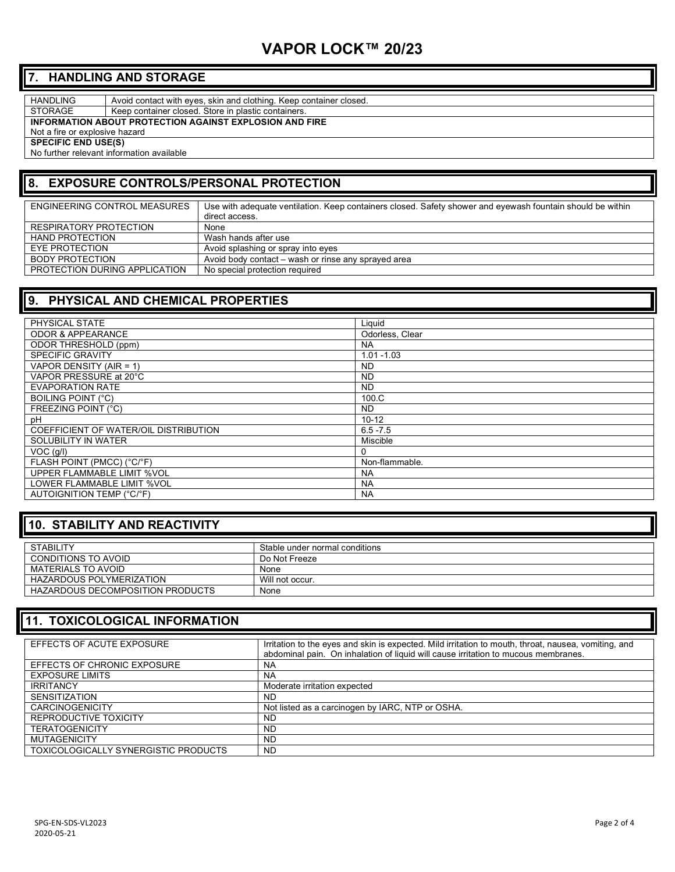# **VAPOR LOCK™ 20/23**

# **7. HANDLING AND STORAGE**

HANDLING Avoid contact with eyes, skin and clothing. Keep container closed.

STORAGE | Keep container closed. Store in plastic containers.

**INFORMATION ABOUT PROTECTION AGAINST EXPLOSION AND FIRE**

Not a fire or explosive hazard

**SPECIFIC END USE(S)** 

No further relevant information available

# **8. EXPOSURE CONTROLS/PERSONAL PROTECTION**

| ENGINEERING CONTROL MEASURES  | Use with adequate ventilation. Keep containers closed. Safety shower and eyewash fountain should be within<br>direct access. |
|-------------------------------|------------------------------------------------------------------------------------------------------------------------------|
| RESPIRATORY PROTECTION        | None                                                                                                                         |
| <b>HAND PROTECTION</b>        | Wash hands after use                                                                                                         |
| EYE PROTECTION                | Avoid splashing or spray into eyes                                                                                           |
| BODY PROTECTION               | Avoid body contact – wash or rinse any sprayed area                                                                          |
| PROTECTION DURING APPLICATION | No special protection required                                                                                               |

# **9. PHYSICAL AND CHEMICAL PROPERTIES**

| PHYSICAL STATE                        | Liquid          |
|---------------------------------------|-----------------|
| <b>ODOR &amp; APPEARANCE</b>          | Odorless, Clear |
| ODOR THRESHOLD (ppm)                  | <b>NA</b>       |
| <b>SPECIFIC GRAVITY</b>               | $1.01 - 1.03$   |
| VAPOR DENSITY (AIR = 1)               | <b>ND</b>       |
| VAPOR PRESSURE at 20°C                | <b>ND</b>       |
| <b>EVAPORATION RATE</b>               | <b>ND</b>       |
| <b>BOILING POINT (°C)</b>             | 100.C           |
| FREEZING POINT (°C)                   | <b>ND</b>       |
| pH                                    | $10 - 12$       |
| COEFFICIENT OF WATER/OIL DISTRIBUTION | $6.5 - 7.5$     |
| SOLUBILITY IN WATER                   | Miscible        |
| $VOC$ ( $g/I$ )                       | 0               |
| FLASH POINT (PMCC) (°C/°F)            | Non-flammable.  |
| UPPER FLAMMABLE LIMIT %VOL            | <b>NA</b>       |
| LOWER FLAMMABLE LIMIT %VOL            | <b>NA</b>       |
| AUTOIGNITION TEMP (°C/°F)             | <b>NA</b>       |

# **10. STABILITY AND REACTIVITY**

| <b>STABILITY</b>                 | Stable under normal conditions |
|----------------------------------|--------------------------------|
| CONDITIONS TO AVOID              | Do Not Freeze                  |
| MATERIALS TO AVOID               | None                           |
| HAZARDOUS POLYMERIZATION         | Will not occur.                |
| HAZARDOUS DECOMPOSITION PRODUCTS | None                           |

# **11. TOXICOLOGICAL INFORMATION**

| EFFECTS OF ACUTE EXPOSURE                   | Irritation to the eyes and skin is expected. Mild irritation to mouth, throat, nausea, vomiting, and<br>abdominal pain. On inhalation of liquid will cause irritation to mucous membranes. |
|---------------------------------------------|--------------------------------------------------------------------------------------------------------------------------------------------------------------------------------------------|
| EFFECTS OF CHRONIC EXPOSURE                 | <b>NA</b>                                                                                                                                                                                  |
| <b>EXPOSURE LIMITS</b>                      | NA                                                                                                                                                                                         |
| <b>IRRITANCY</b>                            | Moderate irritation expected                                                                                                                                                               |
| <b>SENSITIZATION</b>                        | ND                                                                                                                                                                                         |
| <b>CARCINOGENICITY</b>                      | Not listed as a carcinogen by IARC, NTP or OSHA.                                                                                                                                           |
| REPRODUCTIVE TOXICITY                       | ND                                                                                                                                                                                         |
| <b>TERATOGENICITY</b>                       | <b>ND</b>                                                                                                                                                                                  |
| <b>MUTAGENICITY</b>                         | <b>ND</b>                                                                                                                                                                                  |
| <b>TOXICOLOGICALLY SYNERGISTIC PRODUCTS</b> | <b>ND</b>                                                                                                                                                                                  |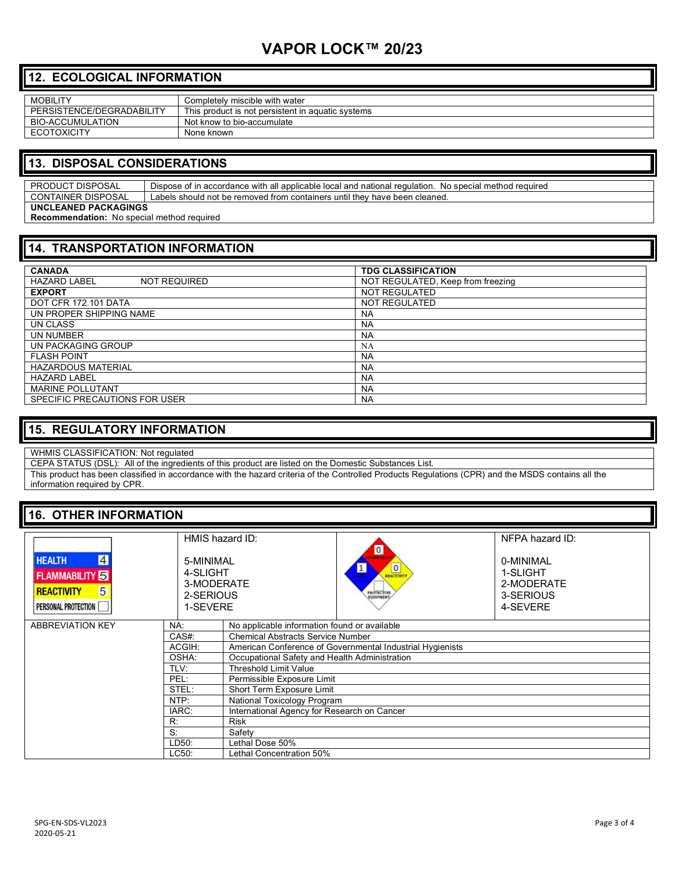# **VAPOR LOCK™ 20/23**

# **12. ECOLOGICAL INFORMATION**

| <b>MOBILITY</b>           | Completely miscible with water                    |
|---------------------------|---------------------------------------------------|
| PERSISTENCE/DEGRADABILITY | This product is not persistent in aquatic systems |
| BIO-ACCUMULATION          | Not know to bio-accumulate                        |
| <b>ECOTOXICITY</b>        | None known                                        |

### **13. DISPOSAL CONSIDERATIONS**

PRODUCT DISPOSAL | Dispose of in accordance with all applicable local and national regulation. No special method required CONTAINER DISPOSAL Labels should not be removed from containers until they have been cleaned. **UNCLEANED PACKAGINGS**

**Recommendation:** No special method required

# **14. TRANSPORTATION INFORMATION**

| <b>CANADA</b>                              | <b>TDG CLASSIFICATION</b>         |  |
|--------------------------------------------|-----------------------------------|--|
| <b>HAZARD LABEL</b><br><b>NOT REQUIRED</b> | NOT REGULATED, Keep from freezing |  |
| <b>EXPORT</b>                              | NOT REGULATED                     |  |
| <b>DOT CFR 172.101 DATA</b>                | NOT REGULATED                     |  |
| UN PROPER SHIPPING NAME                    | <b>NA</b>                         |  |
| UN CLASS                                   | <b>NA</b>                         |  |
| UN NUMBER                                  | <b>NA</b>                         |  |
| UN PACKAGING GROUP                         | <b>NA</b>                         |  |
| <b>FLASH POINT</b>                         | <b>NA</b>                         |  |
| <b>HAZARDOUS MATERIAL</b>                  | <b>NA</b>                         |  |
| <b>HAZARD LABEL</b>                        | <b>NA</b>                         |  |
| <b>MARINE POLLUTANT</b>                    | <b>NA</b>                         |  |
| SPECIFIC PRECAUTIONS FOR USER              | <b>NA</b>                         |  |

### **15. REGULATORY INFORMATION**

#### WHMIS CLASSIFICATION: Not regulated

CEPA STATUS (DSL): All of the ingredients of this product are listed on the Domestic Substances List.

This product has been classified in accordance with the hazard criteria of the Controlled Products Regulations (CPR) and the MSDS contains all the information required by CPR.

#### **16. OTHER INFORMATION**

| $\vert 4 \vert$<br><b>HEALTH</b><br><b>FLAMMABILITY</b><br>5<br><b>REACTIVITY</b><br>PERSONAL PROTECTION | HMIS hazard ID:<br>5-MINIMAL<br>4-SLIGHT<br>3-MODERATE<br>2-SERIOUS<br>1-SEVERE |                                                           | $\overline{\mathbf{o}}$<br><b>O</b><br><b>PROTECTIVE</b> | NFPA hazard ID:<br>0-MINIMAL<br>1-SLIGHT<br>2-MODERATE<br>3-SERIOUS<br>4-SEVERE |  |
|----------------------------------------------------------------------------------------------------------|---------------------------------------------------------------------------------|-----------------------------------------------------------|----------------------------------------------------------|---------------------------------------------------------------------------------|--|
| <b>ABBREVIATION KEY</b>                                                                                  | NA:                                                                             | No applicable information found or available              |                                                          |                                                                                 |  |
|                                                                                                          | CAS#:                                                                           | <b>Chemical Abstracts Service Number</b>                  |                                                          |                                                                                 |  |
|                                                                                                          | ACGIH:                                                                          | American Conference of Governmental Industrial Hygienists |                                                          |                                                                                 |  |
| OSHA:<br>TLV:                                                                                            |                                                                                 | Occupational Safety and Health Administration             |                                                          |                                                                                 |  |
|                                                                                                          |                                                                                 | <b>Threshold Limit Value</b>                              |                                                          |                                                                                 |  |
|                                                                                                          | PEL:                                                                            | Permissible Exposure Limit                                |                                                          |                                                                                 |  |
|                                                                                                          | STEL:                                                                           | Short Term Exposure Limit                                 |                                                          |                                                                                 |  |
|                                                                                                          | NTP:                                                                            | National Toxicology Program                               |                                                          |                                                                                 |  |
|                                                                                                          | IARC:                                                                           | International Agency for Research on Cancer               |                                                          |                                                                                 |  |
| R:<br><b>Risk</b><br>S:<br>Safety                                                                        |                                                                                 |                                                           |                                                          |                                                                                 |  |
|                                                                                                          |                                                                                 |                                                           |                                                          |                                                                                 |  |
|                                                                                                          | LD50:                                                                           | Lethal Dose 50%                                           |                                                          |                                                                                 |  |
|                                                                                                          | LC50:                                                                           | Lethal Concentration 50%                                  |                                                          |                                                                                 |  |